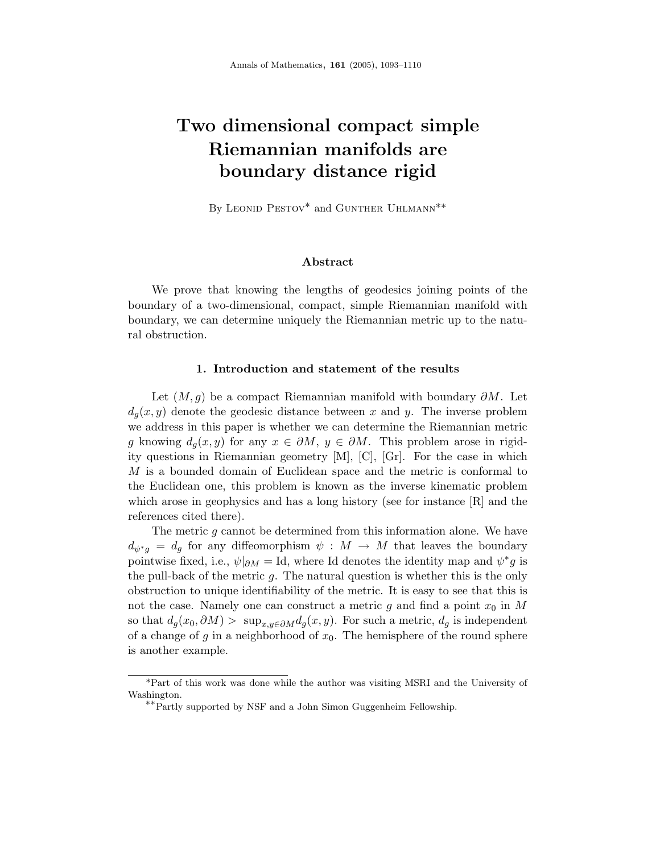# **Two dimensional compact simple Riemannian manifolds are boundary distance rigid**

By LEONID PESTOV<sup>\*</sup> and GUNTHER UHLMANN<sup>\*\*</sup>

## **Abstract**

We prove that knowing the lengths of geodesics joining points of the boundary of a two-dimensional, compact, simple Riemannian manifold with boundary, we can determine uniquely the Riemannian metric up to the natural obstruction.

#### **1. Introduction and statement of the results**

Let (*M,g*) be a compact Riemannian manifold with boundary *∂M*. Let  $d_q(x, y)$  denote the geodesic distance between x and y. The inverse problem we address in this paper is whether we can determine the Riemannian metric *g* knowing  $d_q(x, y)$  for any  $x \in \partial M$ ,  $y \in \partial M$ . This problem arose in rigidity questions in Riemannian geometry [M], [C], [Gr]. For the case in which *M* is a bounded domain of Euclidean space and the metric is conformal to the Euclidean one, this problem is known as the inverse kinematic problem which arose in geophysics and has a long history (see for instance [R] and the references cited there).

The metric *g* cannot be determined from this information alone. We have  $d_{\psi^*q} = d_q$  for any diffeomorphism  $\psi : M \to M$  that leaves the boundary pointwise fixed, i.e.,  $\psi|_{\partial M} = \text{Id}$ , where Id denotes the identity map and  $\psi^* g$  is the pull-back of the metric *g*. The natural question is whether this is the only obstruction to unique identifiability of the metric. It is easy to see that this is not the case. Namely one can construct a metric *g* and find a point *x*<sup>0</sup> in *M* so that  $d_g(x_0, \partial M) > \sup_{x,y \in \partial M} d_g(x,y)$ . For such a metric,  $d_g$  is independent of a change of  $g$  in a neighborhood of  $x_0$ . The hemisphere of the round sphere is another example.

<sup>\*</sup>Part of this work was done while the author was visiting MSRI and the University of Washington.

<sup>∗∗</sup>Partly supported by NSF and a John Simon Guggenheim Fellowship.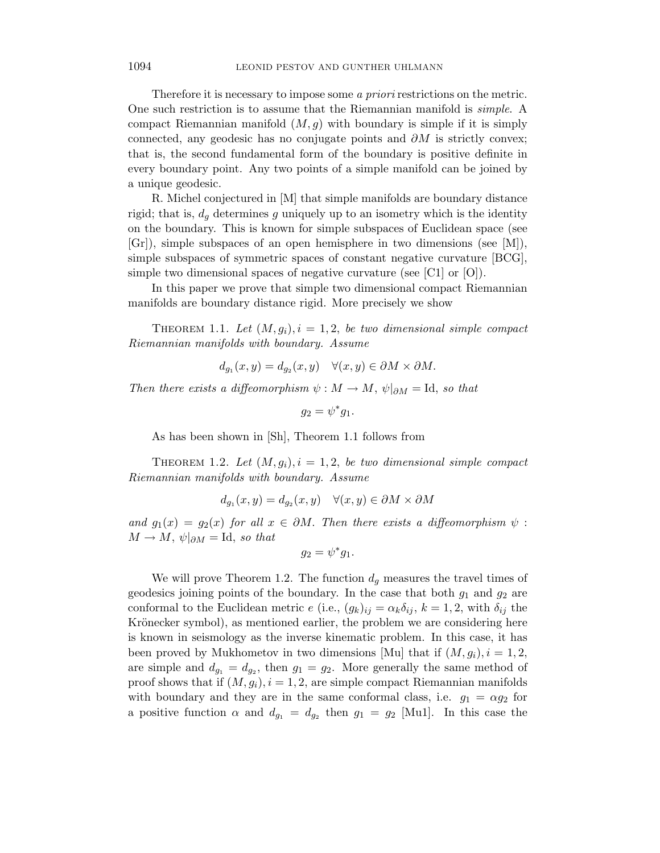Therefore it is necessary to impose some a *priori* restrictions on the metric. One such restriction is to assume that the Riemannian manifold is simple. A compact Riemannian manifold  $(M, g)$  with boundary is simple if it is simply connected, any geodesic has no conjugate points and *∂M* is strictly convex; that is, the second fundamental form of the boundary is positive definite in every boundary point. Any two points of a simple manifold can be joined by a unique geodesic.

R. Michel conjectured in [M] that simple manifolds are boundary distance rigid; that is,  $d_q$  determines  $q$  uniquely up to an isometry which is the identity on the boundary. This is known for simple subspaces of Euclidean space (see  $[Gr]$ , simple subspaces of an open hemisphere in two dimensions (see [M]), simple subspaces of symmetric spaces of constant negative curvature [BCG], simple two dimensional spaces of negative curvature (see [C1] or [O]).

In this paper we prove that simple two dimensional compact Riemannian manifolds are boundary distance rigid. More precisely we show

THEOREM 1.1. Let  $(M, g_i)$ ,  $i = 1, 2$ , be two dimensional simple compact Riemannian manifolds with boundary. Assume

$$
d_{g_1}(x, y) = d_{g_2}(x, y) \quad \forall (x, y) \in \partial M \times \partial M.
$$

Then there exists a diffeomorphism  $\psi : M \to M$ ,  $\psi|_{\partial M} = \text{Id}$ , so that

$$
g_2=\psi^*g_1.
$$

As has been shown in [Sh], Theorem 1.1 follows from

THEOREM 1.2. Let  $(M, g_i)$ ,  $i = 1, 2$ , be two dimensional simple compact Riemannian manifolds with boundary. Assume

$$
d_{g_1}(x, y) = d_{g_2}(x, y) \quad \forall (x, y) \in \partial M \times \partial M
$$

and  $g_1(x) = g_2(x)$  for all  $x \in \partial M$ . Then there exists a diffeomorphism  $\psi$ :  $M \to M$ ,  $\psi|_{\partial M} = \text{Id}$ , so that

$$
g_2=\psi^*g_1.
$$

We will prove Theorem 1.2. The function  $d_g$  measures the travel times of geodesics joining points of the boundary. In the case that both  $g_1$  and  $g_2$  are conformal to the Euclidean metric *e* (i.e.,  $(g_k)_{ij} = \alpha_k \delta_{ij}$ ,  $k = 1, 2$ , with  $\delta_{ij}$  the Krönecker symbol), as mentioned earlier, the problem we are considering here is known in seismology as the inverse kinematic problem. In this case, it has been proved by Mukhometov in two dimensions [Mu] that if  $(M, g_i)$ ,  $i = 1, 2$ , are simple and  $d_{g_1} = d_{g_2}$ , then  $g_1 = g_2$ . More generally the same method of proof shows that if  $(M, g_i)$ ,  $i = 1, 2$ , are simple compact Riemannian manifolds with boundary and they are in the same conformal class, i.e.  $g_1 = \alpha g_2$  for a positive function  $\alpha$  and  $d_{g_1} = d_{g_2}$  then  $g_1 = g_2$  [Mu1]. In this case the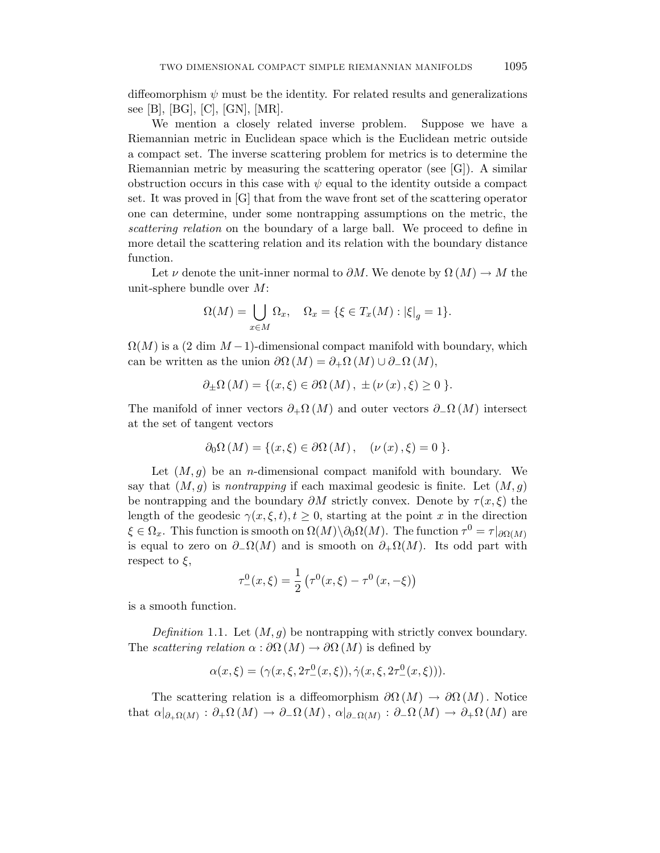diffeomorphism  $\psi$  must be the identity. For related results and generalizations see [B], [BG], [C], [GN], [MR].

We mention a closely related inverse problem. Suppose we have a Riemannian metric in Euclidean space which is the Euclidean metric outside a compact set. The inverse scattering problem for metrics is to determine the Riemannian metric by measuring the scattering operator (see  $[G]$ ). A similar obstruction occurs in this case with  $\psi$  equal to the identity outside a compact set. It was proved in [G] that from the wave front set of the scattering operator one can determine, under some nontrapping assumptions on the metric, the scattering relation on the boundary of a large ball. We proceed to define in more detail the scattering relation and its relation with the boundary distance function.

Let *ν* denote the unit-inner normal to  $\partial M$ . We denote by  $\Omega(M) \to M$  the unit-sphere bundle over *M*:

$$
\Omega(M) = \bigcup_{x \in M} \Omega_x, \quad \Omega_x = \{ \xi \in T_x(M) : |\xi|_g = 1 \}.
$$

 $\Omega(M)$  is a (2 dim  $M-1$ )-dimensional compact manifold with boundary, which can be written as the union  $\partial\Omega(M) = \partial_+\Omega(M) \cup \partial_-\Omega(M)$ ,

$$
\partial_{\pm}\Omega\left(M\right) = \{ (x,\xi) \in \partial\Omega\left(M\right), \pm \left(\nu\left(x\right),\xi\right) \geq 0 \}.
$$

The manifold of inner vectors  $\partial_+ \Omega(M)$  and outer vectors  $\partial_- \Omega(M)$  intersect at the set of tangent vectors

$$
\partial_0 \Omega(M) = \{ (x, \xi) \in \partial \Omega(M) , \quad (\nu(x), \xi) = 0 \}.
$$

Let (*M,g*) be an *n*-dimensional compact manifold with boundary. We say that  $(M, q)$  is *nontrapping* if each maximal geodesic is finite. Let  $(M, q)$ be nontrapping and the boundary  $\partial M$  strictly convex. Denote by  $\tau(x,\xi)$  the length of the geodesic  $\gamma(x,\xi,t)$ ,  $t \geq 0$ , starting at the point *x* in the direction  $\xi \in \Omega_x$ . This function is smooth on  $\Omega(M) \setminus \partial_0 \Omega(M)$ . The function  $\tau^0 = \tau |_{\partial \Omega(M)}$ is equal to zero on  $\partial_{-}\Omega(M)$  and is smooth on  $\partial_{+}\Omega(M)$ . Its odd part with respect to *ξ*,

$$
\tau_-^0(x,\xi) = \frac{1}{2} \left( \tau^0(x,\xi) - \tau^0(x,-\xi) \right)
$$

is a smooth function.

Definition 1.1. Let  $(M, g)$  be nontrapping with strictly convex boundary. The *scattering relation*  $\alpha : \partial \Omega(M) \to \partial \Omega(M)$  is defined by

$$
\alpha(x,\xi) = (\gamma(x,\xi,2\tau^0_-(x,\xi)), \dot{\gamma}(x,\xi,2\tau^0_-(x,\xi))).
$$

The scattering relation is a diffeomorphism  $\partial\Omega(M) \to \partial\Omega(M)$ . Notice that  $\alpha|_{\partial_{+}\Omega(M)} : \partial_{+}\Omega(M) \to \partial_{-}\Omega(M)$ ,  $\alpha|_{\partial_{-}\Omega(M)} : \partial_{-}\Omega(M) \to \partial_{+}\Omega(M)$  are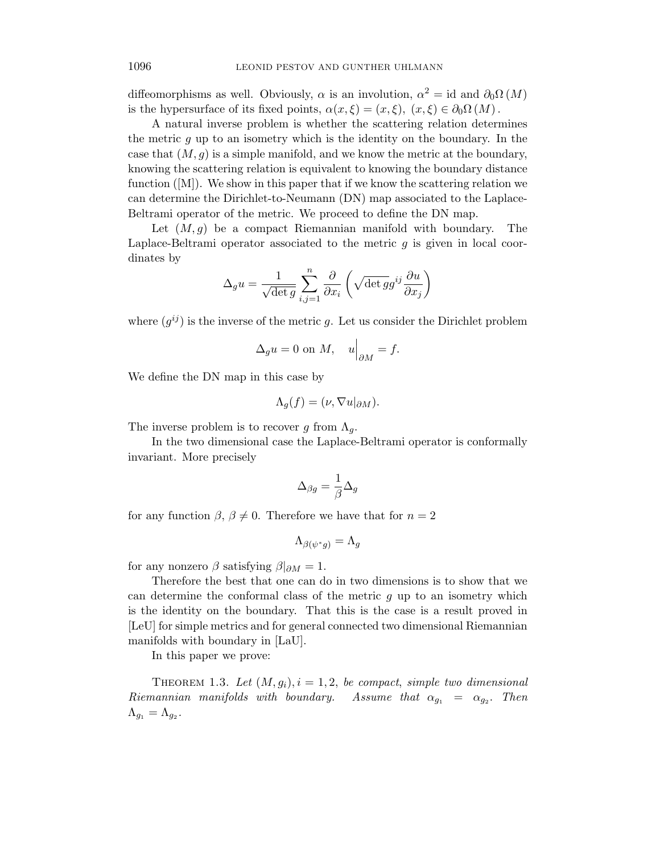diffeomorphisms as well. Obviously,  $\alpha$  is an involution,  $\alpha^2 = id$  and  $\partial_0\Omega(M)$ is the hypersurface of its fixed points,  $\alpha(x,\xi)=(x,\xi), (x,\xi)\in\partial_0\Omega(M)$ .

A natural inverse problem is whether the scattering relation determines the metric *g* up to an isometry which is the identity on the boundary. In the case that  $(M, g)$  is a simple manifold, and we know the metric at the boundary, knowing the scattering relation is equivalent to knowing the boundary distance function ([M]). We show in this paper that if we know the scattering relation we can determine the Dirichlet-to-Neumann (DN) map associated to the Laplace-Beltrami operator of the metric. We proceed to define the DN map.

Let (*M,g*) be a compact Riemannian manifold with boundary. The Laplace-Beltrami operator associated to the metric *g* is given in local coordinates by

$$
\Delta_g u = \frac{1}{\sqrt{\det g}} \sum_{i,j=1}^n \frac{\partial}{\partial x_i} \left( \sqrt{\det g} g^{ij} \frac{\partial u}{\partial x_j} \right)
$$

where  $(q^{ij})$  is the inverse of the metric q. Let us consider the Dirichlet problem

$$
\Delta_g u = 0 \text{ on } M, \quad u\Big|_{\partial M} = f.
$$

We define the DN map in this case by

$$
\Lambda_g(f) = (\nu, \nabla u|_{\partial M}).
$$

The inverse problem is to recover *g* from  $\Lambda_q$ .

In the two dimensional case the Laplace-Beltrami operator is conformally invariant. More precisely

$$
\Delta_{\beta g}=\frac{1}{\beta}\Delta_g
$$

for any function  $\beta$ ,  $\beta \neq 0$ . Therefore we have that for  $n = 2$ 

$$
\Lambda_{\beta(\psi^*g)} = \Lambda_g
$$

for any nonzero  $\beta$  satisfying  $\beta|_{\partial M} = 1$ .

Therefore the best that one can do in two dimensions is to show that we can determine the conformal class of the metric *g* up to an isometry which is the identity on the boundary. That this is the case is a result proved in [LeU] for simple metrics and for general connected two dimensional Riemannian manifolds with boundary in [LaU].

In this paper we prove:

THEOREM 1.3. Let  $(M, g_i)$ ,  $i = 1, 2$ , be compact, simple two dimensional Riemannian manifolds with boundary. Assume that  $\alpha_{g_1} = \alpha_{g_2}$ . Then  $\Lambda_{g_1} = \Lambda_{g_2}$ .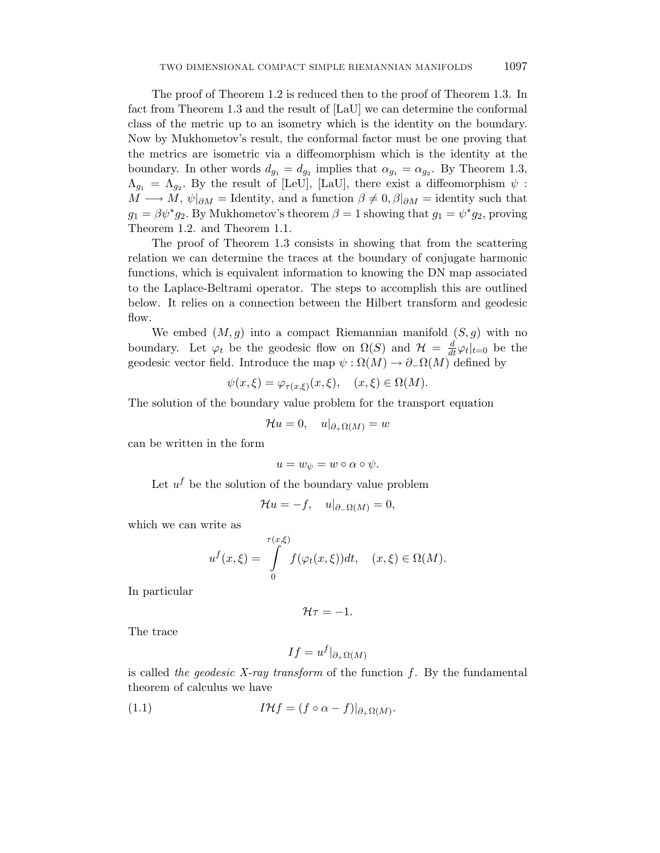The proof of Theorem 1.2 is reduced then to the proof of Theorem 1.3. In fact from Theorem 1.3 and the result of [LaU] we can determine the conformal class of the metric up to an isometry which is the identity on the boundary. Now by Mukhometov's result, the conformal factor must be one proving that the metrics are isometric via a diffeomorphism which is the identity at the boundary. In other words  $d_{g_1} = d_{g_2}$  implies that  $\alpha_{g_1} = \alpha_{g_2}$ . By Theorem 1.3,  $\Lambda_{g_1} = \Lambda_{g_2}$ . By the result of [LeU], [LaU], there exist a diffeomorphism  $\psi$ :  $M \longrightarrow M$ ,  $\psi|_{\partial M} =$  Identity, and a function  $\beta \neq 0$ ,  $\beta|_{\partial M} =$  identity such that  $g_1 = \beta \psi^* g_2$ . By Mukhometov's theorem  $\beta = 1$  showing that  $g_1 = \psi^* g_2$ , proving Theorem 1.2. and Theorem 1.1.

The proof of Theorem 1.3 consists in showing that from the scattering relation we can determine the traces at the boundary of conjugate harmonic functions, which is equivalent information to knowing the DN map associated to the Laplace-Beltrami operator. The steps to accomplish this are outlined below. It relies on a connection between the Hilbert transform and geodesic flow.

We embed  $(M, g)$  into a compact Riemannian manifold  $(S, g)$  with no boundary. Let  $\varphi_t$  be the geodesic flow on  $\Omega(S)$  and  $\mathcal{H} = \frac{d}{dt}\varphi_t|_{t=0}$  be the geodesic vector field. Introduce the map  $\psi : \Omega(M) \to \partial_{-}\Omega(M)$  defined by

$$
\psi(x,\xi) = \varphi_{\tau(x,\xi)}(x,\xi), \quad (x,\xi) \in \Omega(M).
$$

The solution of the boundary value problem for the transport equation

$$
\mathcal{H}u = 0, \quad u|_{\partial_{+}\Omega(M)} = w
$$

can be written in the form

$$
u = w_{\psi} = w \circ \alpha \circ \psi.
$$

Let  $u^f$  be the solution of the boundary value problem

$$
\mathcal{H}u = -f, \quad u|_{\partial_{-}\Omega(M)} = 0,
$$

which we can write as

$$
u^f(x,\xi) = \int\limits_0^{\tau(x,\xi)} f(\varphi_t(x,\xi))dt, \quad (x,\xi) \in \Omega(M).
$$

In particular

$$
\mathcal{H}\tau=-1.
$$

The trace

$$
If = u^f|_{\partial_{+}\Omega(M)}
$$

is called the geodesic X-ray transform of the function *f*. By the fundamental theorem of calculus we have

(1.1) 
$$
I\mathcal{H}f = (f \circ \alpha - f)|_{\partial_+\Omega(M)}.
$$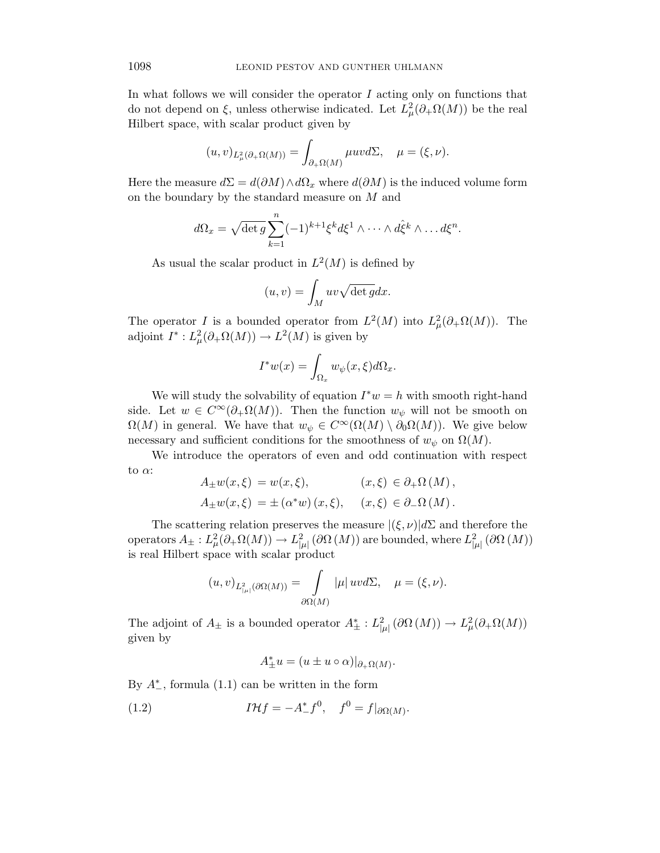In what follows we will consider the operator *I* acting only on functions that do not depend on  $\xi$ , unless otherwise indicated. Let  $L^2_{\mu}(\partial_{+}\Omega(M))$  be the real Hilbert space, with scalar product given by

$$
(u,v)_{L^2_{\mu}(\partial_{+}\Omega(M))} = \int_{\partial_{+}\Omega(M)} \mu uv d\Sigma, \quad \mu = (\xi,\nu).
$$

Here the measure  $d\Sigma = d(\partial M) \wedge d\Omega_x$  where  $d(\partial M)$  is the induced volume form on the boundary by the standard measure on *M* and

$$
d\Omega_x = \sqrt{\det g} \sum_{k=1}^n (-1)^{k+1} \xi^k d\xi^1 \wedge \cdots \wedge d\hat{\xi}^k \wedge \cdots d\xi^n.
$$

As usual the scalar product in  $L^2(M)$  is defined by

$$
(u, v) = \int_M uv \sqrt{\det g} dx.
$$

The operator *I* is a bounded operator from  $L^2(M)$  into  $L^2_{\mu}(\partial_{+}\Omega(M))$ . The adjoint  $I^* : L^2_\mu(\partial_\text{+}\Omega(M)) \to L^2(M)$  is given by

$$
I^*w(x) = \int_{\Omega_x} w_{\psi}(x,\xi) d\Omega_x.
$$

We will study the solvability of equation  $I^*w = h$  with smooth right-hand side. Let  $w \in C^{\infty}(\partial_{+}\Omega(M))$ . Then the function  $w_{\psi}$  will not be smooth on  $\Omega(M)$  in general. We have that  $w_{\psi} \in C^{\infty}(\Omega(M) \setminus \partial_0 \Omega(M))$ . We give below necessary and sufficient conditions for the smoothness of  $w_{\psi}$  on  $\Omega(M)$ .

We introduce the operators of even and odd continuation with respect to *α*:

$$
A_{\pm}w(x,\xi) = w(x,\xi), \qquad (x,\xi) \in \partial_{+}\Omega(M),
$$
  

$$
A_{\pm}w(x,\xi) = \pm (\alpha^*w)(x,\xi), \quad (x,\xi) \in \partial_{-}\Omega(M).
$$

The scattering relation preserves the measure  $|(\xi,\nu)|d\Sigma$  and therefore the  $\mathcal{L}^2_{\mu}(\partial + \Omega(M)) \to L^2_{|\mu|}(\partial \Omega(M))$  are bounded, where  $L^2_{|\mu|}(\partial \Omega(M))$ is real Hilbert space with scalar product

$$
(u,v)_{L^2_{|\mu|}(\partial \Omega(M))} = \int\limits_{\partial \Omega(M)} |\mu| \, uv d\Sigma, \quad \mu = (\xi, \nu).
$$

The adjoint of  $A_{\pm}$  is a bounded operator  $A_{\pm}^*: L^2_{|\mu|}(\partial \Omega(M)) \to L^2_{\mu}(\partial_{+}\Omega(M))$ given by

 $A^*_{\pm}u = (u \pm u \circ \alpha)|_{\partial_{+}\Omega(M)}$ .

By  $A_{-}^{*}$ , formula  $(1.1)$  can be written in the form

(1.2) 
$$
I \mathcal{H} f = -A_{-}^{*} f^{0}, \quad f^{0} = f|_{\partial \Omega(M)}.
$$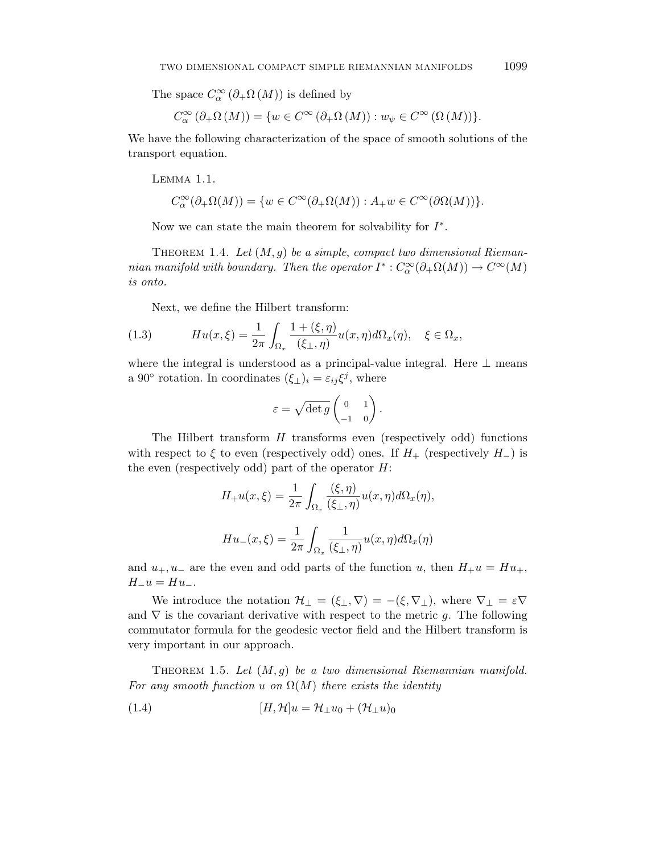The space  $C^{\infty}_{\alpha}(\partial_{+}\Omega(M))$  is defined by

$$
C_{\alpha}^{\infty}(\partial_{+}\Omega\left(M\right)) = \{ w \in C^{\infty}(\partial_{+}\Omega\left(M\right)) : w_{\psi} \in C^{\infty}\left(\Omega\left(M\right)\right) \}.
$$

We have the following characterization of the space of smooth solutions of the transport equation.

Lemma 1.1.

$$
C_{\alpha}^{\infty}(\partial_{+}\Omega(M)) = \{ w \in C^{\infty}(\partial_{+}\Omega(M)) : A_{+}w \in C^{\infty}(\partial \Omega(M)) \}.
$$

Now we can state the main theorem for solvability for *I*∗.

THEOREM 1.4. Let  $(M, g)$  be a simple, compact two dimensional Riemannian manifold with boundary. Then the operator  $I^*: C^{\infty}_{\alpha}(\partial_{+}\Omega(M)) \to C^{\infty}(M)$ is onto.

Next, we define the Hilbert transform:

(1.3) 
$$
Hu(x,\xi) = \frac{1}{2\pi} \int_{\Omega_x} \frac{1+(\xi,\eta)}{(\xi_{\perp},\eta)} u(x,\eta) d\Omega_x(\eta), \quad \xi \in \Omega_x,
$$

where the integral is understood as a principal-value integral. Here  $\perp$  means a 90° rotation. In coordinates  $(\xi_{\perp})_i = \varepsilon_{ij} \xi^j$ , where

$$
\varepsilon = \sqrt{\det g} \begin{pmatrix} 0 & 1 \\ -1 & 0 \end{pmatrix}.
$$

The Hilbert transform *H* transforms even (respectively odd) functions with respect to  $\xi$  to even (respectively odd) ones. If  $H_+$  (respectively  $H_-$ ) is the even (respectively odd) part of the operator *H*:

$$
H_+u(x,\xi) = \frac{1}{2\pi} \int_{\Omega_x} \frac{(\xi,\eta)}{(\xi_\perp,\eta)} u(x,\eta) d\Omega_x(\eta),
$$
  

$$
Hu_-(x,\xi) = \frac{1}{2\pi} \int_{\Omega_x} \frac{1}{(\xi_\perp,\eta)} u(x,\eta) d\Omega_x(\eta)
$$

and  $u_+$ ,  $u_-$  are the even and odd parts of the function *u*, then  $H_+u = Hu_+$ ,  $H_-\mathbf{u} = H\mathbf{u}_-$ .

We introduce the notation  $\mathcal{H}_{\perp} = (\xi_{\perp}, \nabla) = -(\xi, \nabla_{\perp})$ , where  $\nabla_{\perp} = \varepsilon \nabla$ and  $\nabla$  is the covariant derivative with respect to the metric *g*. The following commutator formula for the geodesic vector field and the Hilbert transform is very important in our approach.

THEOREM 1.5. Let  $(M, g)$  be a two dimensional Riemannian manifold. For any smooth function *u* on  $\Omega(M)$  there exists the identity

(1.4) 
$$
[H, \mathcal{H}]u = \mathcal{H}_{\perp}u_0 + (\mathcal{H}_{\perp}u)_0
$$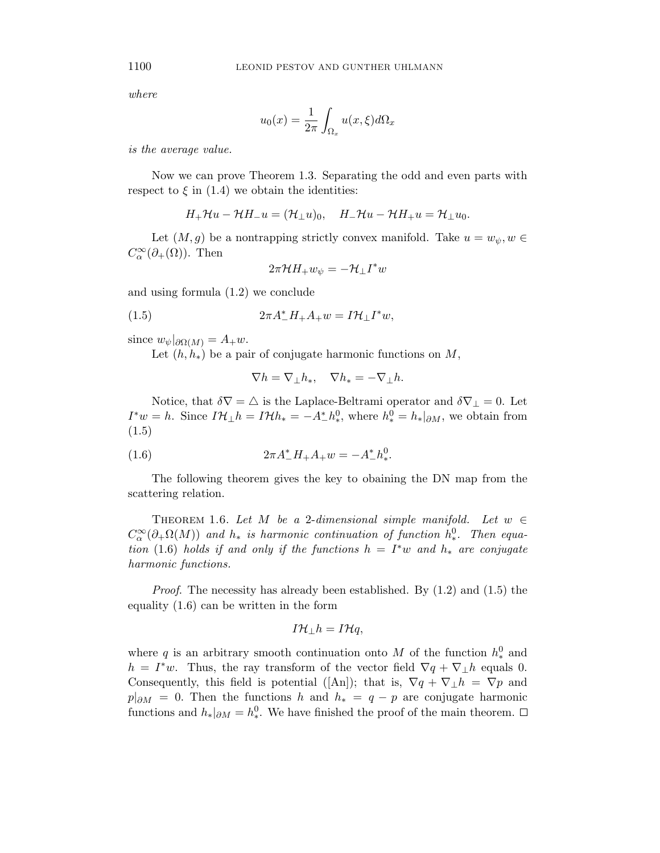where

$$
u_0(x) = \frac{1}{2\pi} \int_{\Omega_x} u(x,\xi) d\Omega_x
$$

is the average value.

Now we can prove Theorem 1.3. Separating the odd and even parts with respect to  $\xi$  in (1.4) we obtain the identities:

$$
H_+\mathcal{H}u-\mathcal{H}H_-u=(\mathcal{H}_\perp u)_0,\quad H_-\mathcal{H}u-\mathcal{H}H_+u=\mathcal{H}_\perp u_0.
$$

Let  $(M, g)$  be a nontrapping strictly convex manifold. Take  $u = w_{\psi}, w \in$  $C_{\alpha}^{\infty}(\partial_{+}(\Omega))$ . Then

$$
2\pi \mathcal{H}H_+ w_{\psi} = -\mathcal{H}_{\perp}I^*w
$$

and using formula (1.2) we conclude

$$
(1.5) \t 2\pi A_-^* H_+ A_+ w = I \mathcal{H}_\perp I^* w,
$$

since  $w_{\psi}|_{\partial \Omega(M)} = A_{+}w$ .

Let  $(h, h_*)$  be a pair of conjugate harmonic functions on *M*,

$$
\nabla h = \nabla_{\perp} h_*, \quad \nabla h_* = -\nabla_{\perp} h.
$$

Notice, that  $\delta \nabla = \Delta$  is the Laplace-Beltrami operator and  $\delta \nabla_{\perp} = 0$ . Let  $I^*w = h$ . Since  $I\mathcal{H}_{\perp}h = I\mathcal{H}h_* = -A^*_{-}h_*^0$ , where  $h_*^0 = h_*|_{\partial M}$ , we obtain from (1.5)

(1.6) 
$$
2\pi A_-^* H_+ A_+ w = -A_-^* h_*^0.
$$

The following theorem gives the key to obaining the DN map from the scattering relation.

THEOREM 1.6. Let *M* be a 2-dimensional simple manifold. Let  $w \in$  $C^{\infty}_{\alpha}(\partial_{+}\Omega(M))$  and  $h_*$  is harmonic continuation of function  $h^0_*$ . Then equation (1.6) holds if and only if the functions  $h = I^*w$  and  $h_*$  are conjugate harmonic functions.

Proof. The necessity has already been established. By (1.2) and (1.5) the equality (1.6) can be written in the form

$$
I\mathcal{H}_{\perp}h=I\mathcal{H}q,
$$

where *q* is an arbitrary smooth continuation onto *M* of the function  $h_*^0$  and  $h = I^*w$ . Thus, the ray transform of the vector field  $\nabla q + \nabla_{\perp} h$  equals 0. Consequently, this field is potential ([An]); that is,  $\nabla q + \nabla_{\perp} h = \nabla p$  and  $p|_{\partial M} = 0$ . Then the functions *h* and  $h_* = q - p$  are conjugate harmonic functions and  $h_*|_{\partial M} = h_*^0$ . We have finished the proof of the main theorem.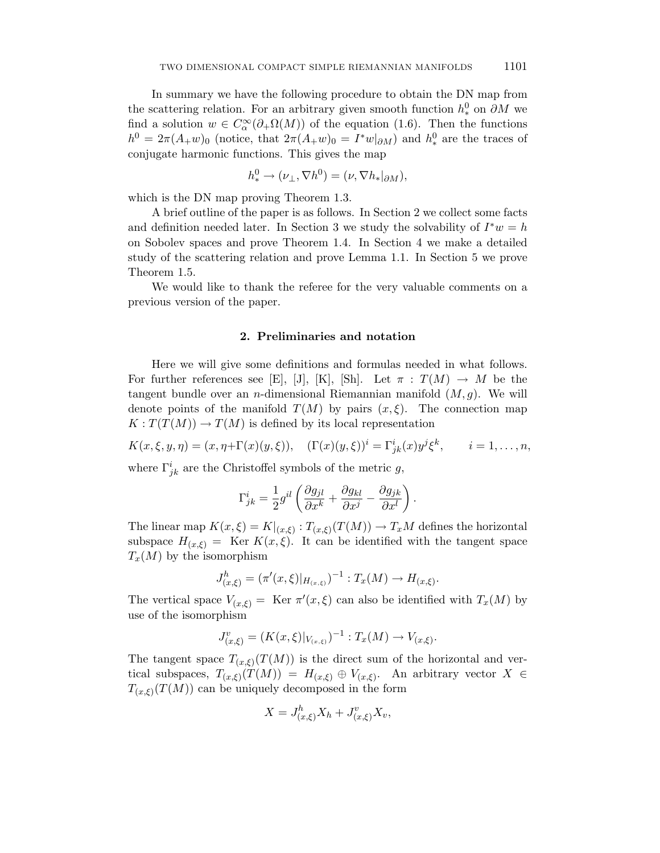In summary we have the following procedure to obtain the DN map from the scattering relation. For an arbitrary given smooth function  $h_*^0$  on  $\partial M$  we find a solution  $w \in C^{\infty}_{\alpha}(\partial_{+}\Omega(M))$  of the equation (1.6). Then the functions  $h^0 = 2\pi (A_+ w)_0$  (notice, that  $2\pi (A_+ w)_0 = I^* w|_{\partial M}$ ) and  $h^0_*$  are the traces of conjugate harmonic functions. This gives the map

$$
h^0_* \to (\nu_\perp, \nabla h^0) = (\nu, \nabla h_*|_{\partial M}),
$$

which is the DN map proving Theorem 1.3.

A brief outline of the paper is as follows. In Section 2 we collect some facts and definition needed later. In Section 3 we study the solvability of  $I^*w = h$ on Sobolev spaces and prove Theorem 1.4. In Section 4 we make a detailed study of the scattering relation and prove Lemma 1.1. In Section 5 we prove Theorem 1.5.

We would like to thank the referee for the very valuable comments on a previous version of the paper.

### **2. Preliminaries and notation**

Here we will give some definitions and formulas needed in what follows. For further references see [E], [J], [K], [Sh]. Let  $\pi : T(M) \to M$  be the tangent bundle over an *n*-dimensional Riemannian manifold (*M,g*). We will denote points of the manifold  $T(M)$  by pairs  $(x, \xi)$ . The connection map  $K: T(T(M)) \to T(M)$  is defined by its local representation

 $K(x, \xi, y, \eta) = (x, \eta + \Gamma(x)(y, \xi)), \quad (\Gamma(x)(y, \xi))^i = \Gamma^i_{jk}(x)y^j\xi^k, \qquad i = 1, \dots, n,$ 

where  $\Gamma^i_{jk}$  are the Christoffel symbols of the metric *g*,

$$
\Gamma^i_{jk} = \frac{1}{2}g^{il}\left(\frac{\partial g_{jl}}{\partial x^k} + \frac{\partial g_{kl}}{\partial x^j} - \frac{\partial g_{jk}}{\partial x^l}\right).
$$

The linear map  $K(x,\xi) = K|_{(x,\xi)}$ :  $T_{(x,\xi)}(T(M)) \to T_xM$  defines the horizontal subspace  $H_{(x,\xi)} = \text{Ker } K(x,\xi)$ . It can be identified with the tangent space  $T_x(M)$  by the isomorphism

$$
J_{(x,\xi)}^h = (\pi'(x,\xi)|_{H_{(x,\xi)}})^{-1} : T_x(M) \to H_{(x,\xi)}.
$$

The vertical space  $V_{(x,\xi)} = \text{Ker } \pi'(x,\xi)$  can also be identified with  $T_x(M)$  by use of the isomorphism

$$
J_{(x,\xi)}^v = (K(x,\xi)|_{V_{(x,\xi)}})^{-1} : T_x(M) \to V_{(x,\xi)}.
$$

The tangent space  $T_{(x,\xi)}(T(M))$  is the direct sum of the horizontal and vertical subspaces,  $T_{(x,\xi)}(T(M)) = H_{(x,\xi)} \oplus V_{(x,\xi)}$ . An arbitrary vector  $X \in$  $T_{(x,\xi)}(T(M))$  can be uniquely decomposed in the form

$$
X = J^h_{(x,\xi)} X_h + J^v_{(x,\xi)} X_v,
$$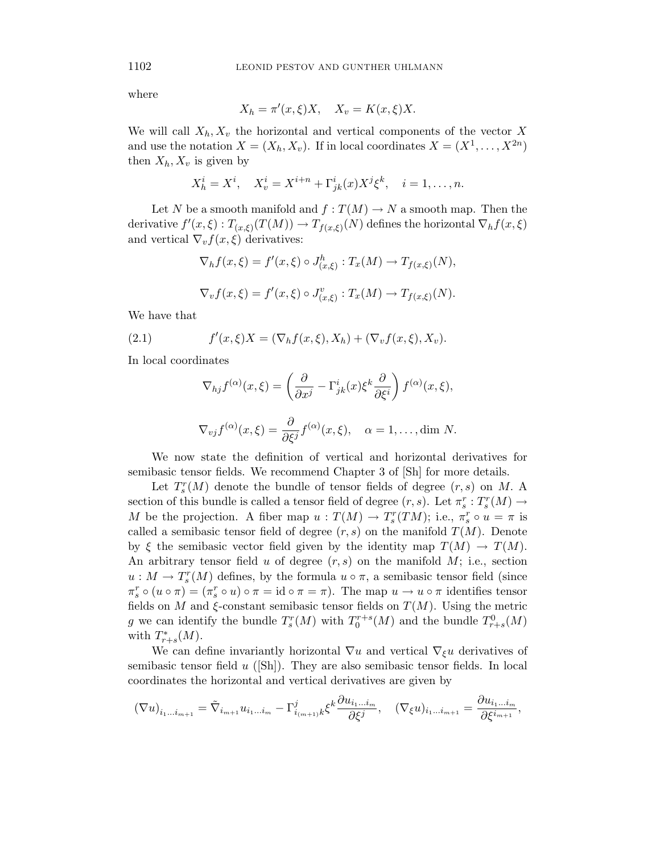where

$$
X_h = \pi'(x,\xi)X, \quad X_v = K(x,\xi)X.
$$

We will call  $X_h, X_v$  the horizontal and vertical components of the vector X and use the notation  $X = (X_h, X_v)$ . If in local coordinates  $X = (X^1, \ldots, X^{2n})$ then  $X_h, X_v$  is given by

$$
X_h^i = X^i, \quad X_v^i = X^{i+n} + \Gamma_{jk}^i(x)X^j\xi^k, \quad i = 1, \dots, n.
$$

Let *N* be a smooth manifold and  $f: T(M) \to N$  a smooth map. Then the derivative  $f'(x,\xi) : T_{(x,\xi)}(T(M)) \to T_{f(x,\xi)}(N)$  defines the horizontal  $\nabla_h f(x,\xi)$ and vertical  $\nabla_v f(x,\xi)$  derivatives:

$$
\nabla_h f(x,\xi) = f'(x,\xi) \circ J^h_{(x,\xi)} : T_x(M) \to T_{f(x,\xi)}(N),
$$
  

$$
\nabla_v f(x,\xi) = f'(x,\xi) \circ J^v_{(x,\xi)} : T_x(M) \to T_{f(x,\xi)}(N).
$$

We have that

(2.1) 
$$
f'(x,\xi)X = (\nabla_h f(x,\xi), X_h) + (\nabla_v f(x,\xi), X_v).
$$

In local coordinates

$$
\nabla_{hj} f^{(\alpha)}(x,\xi) = \left(\frac{\partial}{\partial x^j} - \Gamma^i_{jk}(x)\xi^k \frac{\partial}{\partial \xi^i}\right) f^{(\alpha)}(x,\xi),
$$
  

$$
\nabla_{vj} f^{(\alpha)}(x,\xi) = \frac{\partial}{\partial \xi^j} f^{(\alpha)}(x,\xi), \quad \alpha = 1, \dots, \text{dim } N.
$$

We now state the definition of vertical and horizontal derivatives for semibasic tensor fields. We recommend Chapter 3 of [Sh] for more details.

Let  $T_s^r(M)$  denote the bundle of tensor fields of degree  $(r, s)$  on *M*. A section of this bundle is called a tensor field of degree  $(r, s)$ . Let  $\pi_s^r : T_s^r(M) \to$ *M* be the projection. A fiber map  $u : T(M) \to T_s^r(TM)$ ; i.e.,  $\pi_s^r \circ u = \pi$  is called a semibasic tensor field of degree  $(r, s)$  on the manifold  $T(M)$ . Denote by  $\xi$  the semibasic vector field given by the identity map  $T(M) \to T(M)$ . An arbitrary tensor field *u* of degree (*r, s*) on the manifold *M*; i.e., section  $u: M \to T_s^r(M)$  defines, by the formula  $u \circ \pi$ , a semibasic tensor field (since  $\pi_s^r \circ (u \circ \pi) = (\pi_s^r \circ u) \circ \pi = \text{id} \circ \pi = \pi$ . The map  $u \to u \circ \pi$  identifies tensor fields on *M* and  $\xi$ -constant semibasic tensor fields on  $T(M)$ . Using the metric *g* we can identify the bundle  $T_s^r(M)$  with  $T_0^{r+s}(M)$  and the bundle  $T_{r+s}^0(M)$ with  $T^*_{r+s}(M)$ .

We can define invariantly horizontal  $\nabla u$  and vertical  $\nabla_{\xi} u$  derivatives of semibasic tensor field *u* ([Sh]). They are also semibasic tensor fields. In local coordinates the horizontal and vertical derivatives are given by

$$
(\nabla u)_{i_1...i_{m+1}} = \tilde{\nabla}_{i_{m+1}} u_{i_1...i_m} - \Gamma^j_{i_{(m+1)}k} \xi^k \frac{\partial u_{i_1...i_m}}{\partial \xi^j}, \quad (\nabla_{\xi} u)_{i_1...i_{m+1}} = \frac{\partial u_{i_1...i_m}}{\partial \xi^{i_{m+1}}},
$$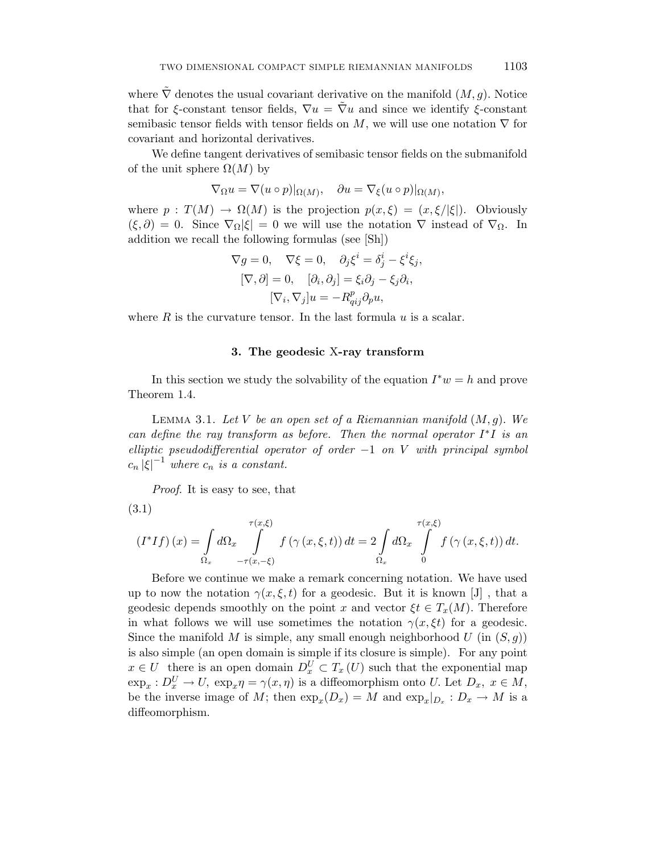where  $\tilde{\nabla}$  denotes the usual covariant derivative on the manifold  $(M, g)$ . Notice that for *ξ*-constant tensor fields,  $\nabla u = \nabla u$  and since we identify *ξ*-constant semibasic tensor fields with tensor fields on  $M$ , we will use one notation  $\nabla$  for covariant and horizontal derivatives.

We define tangent derivatives of semibasic tensor fields on the submanifold of the unit sphere  $\Omega(M)$  by

$$
\nabla_{\Omega} u = \nabla(u \circ p)|_{\Omega(M)}, \quad \partial u = \nabla_{\xi}(u \circ p)|_{\Omega(M)},
$$

where  $p : T(M) \to \Omega(M)$  is the projection  $p(x,\xi) = (x,\xi/|\xi|)$ . Obviously  $(\xi, \partial) = 0$ . Since  $\nabla_{\Omega} |\xi| = 0$  we will use the notation  $\nabla$  instead of  $\nabla_{\Omega}$ . In addition we recall the following formulas (see [Sh])

$$
\nabla g = 0, \quad \nabla \xi = 0, \quad \partial_j \xi^i = \delta^i_j - \xi^i \xi_j,
$$

$$
[\nabla, \partial] = 0, \quad [\partial_i, \partial_j] = \xi_i \partial_j - \xi_j \partial_i,
$$

$$
[\nabla_i, \nabla_j] u = -R^p_{qij} \partial_p u,
$$

where *R* is the curvature tensor. In the last formula *u* is a scalar.

#### **3. The geodesic** X**-ray transform**

In this section we study the solvability of the equation *I*∗*w* = *h* and prove Theorem 1.4.

Lemma 3.1. Let *V* be an open set of a Riemannian manifold (*M,g*)*.* We can define the ray transform as before. Then the normal operator *I*∗*I* is an elliptic pseudodifferential operator of order −1 on *V* with principal symbol  $c_n |\xi|^{-1}$  where  $c_n$  is a constant.

Proof. It is easy to see, that

(3.1)

$$
(I^*If)(x) = \int_{\Omega_x} d\Omega_x \int_{-\tau(x,-\xi)}^{\tau(x,\xi)} f(\gamma(x,\xi,t)) dt = 2 \int_{\Omega_x} d\Omega_x \int_{0}^{\tau(x,\xi)} f(\gamma(x,\xi,t)) dt.
$$

Before we continue we make a remark concerning notation. We have used up to now the notation  $\gamma(x,\xi,t)$  for a geodesic. But it is known [J], that a geodesic depends smoothly on the point *x* and vector  $\xi t \in T_x(M)$ . Therefore in what follows we will use sometimes the notation  $\gamma(x,\xi t)$  for a geodesic. Since the manifold M is simple, any small enough neighborhood  $U$  (in  $(S, g)$ ) is also simple (an open domain is simple if its closure is simple). For any point  $x \in U$  there is an open domain  $D_x^U \subset T_x(U)$  such that the exponential map  $\exp_x : D_x^U \to U$ ,  $\exp_x \eta = \gamma(x, \eta)$  is a diffeomorphism onto *U*. Let  $D_x$ ,  $x \in M$ , be the inverse image of M; then  $\exp_x(D_x) = M$  and  $\exp_x|_{D_x}: D_x \to M$  is a diffeomorphism.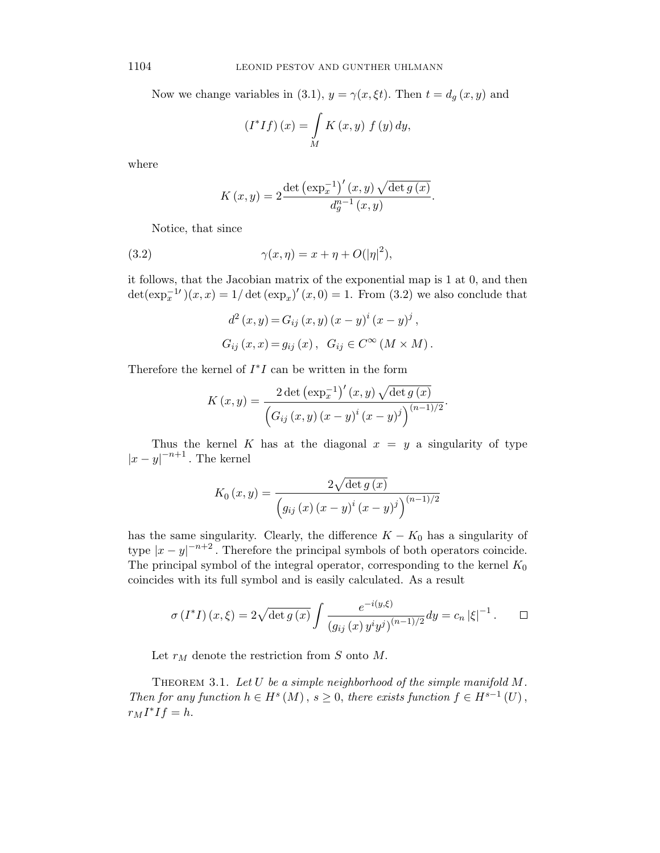Now we change variables in (3.1),  $y = \gamma(x, \xi t)$ . Then  $t = d_g(x, y)$  and

$$
\left(I^*If\right)(x) = \int\limits_M K\left(x, y\right) \, f\left(y\right) \, dy,
$$

where

$$
K(x,y) = 2 \frac{\det (\exp_x^{-1})'(x,y) \sqrt{\det g(x)}}{d_g^{n-1}(x,y)}.
$$

Notice, that since

(3.2) 
$$
\gamma(x,\eta) = x + \eta + O(|\eta|^2),
$$

it follows, that the Jacobian matrix of the exponential map is 1 at 0, and then  $\det(\exp_x^{-1'})(x, x) = 1/\det(\exp_x)'(x, 0) = 1$ . From (3.2) we also conclude that

$$
d^{2}(x, y) = G_{ij}(x, y) (x - y)^{i} (x - y)^{j}
$$
,  
\n $G_{ij}(x, x) = g_{ij}(x), G_{ij} \in C^{\infty} (M \times M)$ .

Therefore the kernel of *I*∗*I* can be written in the form

$$
K(x,y) = \frac{2 \det (\exp_x^{-1})'(x,y) \sqrt{\det g(x)}}{\left(G_{ij}(x,y) (x-y)^i (x-y)^j\right)^{(n-1)/2}}.
$$

Thus the kernel *K* has at the diagonal  $x = y$  a singularity of type  $|x-y|^{-n+1}$ . The kernel

$$
K_{0}(x, y) = \frac{2\sqrt{\det g(x)}}{\left(g_{ij}(x) (x - y)^{i} (x - y)^{j}\right)^{(n-1)/2}}
$$

has the same singularity. Clearly, the difference  $K - K_0$  has a singularity of type  $|x-y|^{-n+2}$ . Therefore the principal symbols of both operators coincide. The principal symbol of the integral operator, corresponding to the kernel  $K_0$ coincides with its full symbol and is easily calculated. As a result

$$
\sigma(I^*I)(x,\xi) = 2\sqrt{\det g(x)} \int \frac{e^{-i(y,\xi)}}{(g_{ij}(x) y^i y^j)^{(n-1)/2}} dy = c_n |\xi|^{-1}.
$$

Let  $r_M$  denote the restriction from *S* onto *M*.

Theorem 3.1. Let *U* be a simple neighborhood of the simple manifold *M*. Then for any function  $h \in H^s(M)$ ,  $s \geq 0$ , there exists function  $f \in H^{s-1}(U)$ ,  $r_M I^* I f = h.$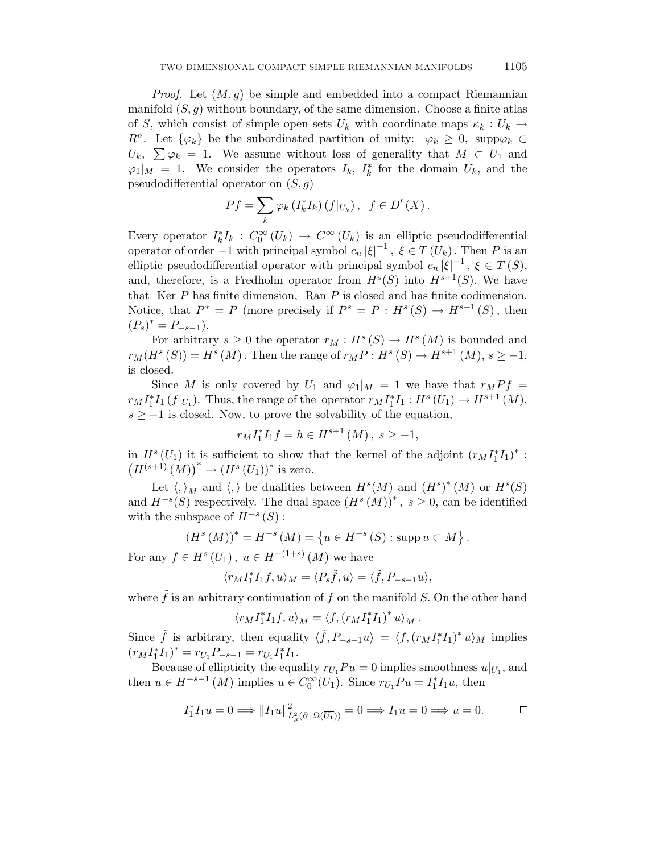*Proof.* Let  $(M, g)$  be simple and embedded into a compact Riemannian manifold  $(S, g)$  without boundary, of the same dimension. Choose a finite atlas of *S*, which consist of simple open sets  $U_k$  with coordinate maps  $\kappa_k : U_k \to$ *R*<sup>n</sup>. Let  $\{\varphi_k\}$  be the subordinated partition of unity:  $\varphi_k \geq 0$ , supp $\varphi_k \subset$  $U_k$ ,  $\sum \varphi_k = 1$ . We assume without loss of generality that  $M \subset U_1$  and  $\varphi_1|_M = 1$ . We consider the operators  $I_k$ ,  $I_k^*$  for the domain  $U_k$ , and the pseudodifferential operator on (*S, g*)

$$
Pf = \sum_{k} \varphi_k \left( I_k^* I_k \right) \left( f|_{U_k} \right), \ \ f \in D' \left( X \right).
$$

Every operator  $I_k^* I_k : C_0^{\infty}(U_k) \to C^{\infty}(U_k)$  is an elliptic pseudodifferential operator of order  $-1$  with principal symbol  $c_n |\xi|^{-1}$ ,  $\xi \in T(U_k)$ . Then P is an elliptic pseudodifferential operator with principal symbol  $c_n |\xi|^{-1}$ ,  $\xi \in T(S)$ , and, therefore, is a Fredholm operator from  $H^s(S)$  into  $H^{s+1}(S)$ . We have that Ker *P* has finite dimension, Ran *P* is closed and has finite codimension. Notice, that  $P^* = P$  (more precisely if  $P^s = P : H^s(S) \to H^{s+1}(S)$ , then  $(P_s)^* = P_{-s-1}$ ).

For arbitrary  $s \geq 0$  the operator  $r_M : H^s(S) \to H^s(M)$  is bounded and  $r_M(H^s(S)) = H^s(M)$ . Then the range of  $r_M P : H^s(S) \to H^{s+1}(M), s \geq -1$ , is closed.

Since *M* is only covered by  $U_1$  and  $\varphi_1|_M = 1$  we have that  $r_M P f =$  $r_M I_1^* I_1 (f|_{U_1})$ . Thus, the range of the operator  $r_M I_1^* I_1 : H^s (U_1) \to H^{s+1} (M)$ ,  $s \geq -1$  is closed. Now, to prove the solvability of the equation,

$$
r_M I_1^* I_1 f = h \in H^{s+1}(M), \ s \ge -1,
$$

in  $H^{s}(U_1)$  it is sufficient to show that the kernel of the adjoint  $(r_M I_1^* I_1)^*$ :  $(H^{(s+1)}(M))^{*} \to (H^{s}(U_{1}))^{*}$  is zero.

Let  $\langle,\rangle_M$  and  $\langle,\rangle$  be dualities between  $H^s(M)$  and  $(H^s)^*(M)$  or  $H^s(S)$ and  $H^{-s}(S)$  respectively. The dual space  $(H^{s}(M))^{*}$ ,  $s \geq 0$ , can be identified with the subspace of  $H^{-s}(S)$ :

$$
(H^{s}(M))^{*} = H^{-s}(M) = \{ u \in H^{-s}(S) : \text{supp } u \subset M \}.
$$

For any  $f \in H^s(U_1)$ ,  $u \in H^{-(1+s)}(M)$  we have

$$
\langle r_M I_1^* I_1 f, u \rangle_M = \langle P_s \tilde{f}, u \rangle = \langle \tilde{f}, P_{-s-1} u \rangle,
$$

where  $\tilde{f}$  is an arbitrary continuation of  $f$  on the manifold  $S$ . On the other hand

$$
\langle r_M I_1^* I_1 f, u \rangle_M = \langle f, (r_M I_1^* I_1)^* u \rangle_M.
$$

Since  $\tilde{f}$  is arbitrary, then equality  $\langle \tilde{f}, P_{-s-1}u \rangle = \langle f, (r_M I_1^* I_1)^* u \rangle_M$  implies  $(r_M I_1^* I_1)^* = r_{U_1} P_{-s-1} = r_{U_1} I_1^* I_1.$ 

Because of ellipticity the equality  $r_{U_1} Pu = 0$  implies smoothness  $u|_{U_1}$ , and then  $u \in H^{-s-1}(M)$  implies  $u \in C_0^{\infty}(U_1)$ . Since  $r_{U_1}Pu = I_1^*I_1u$ , then

$$
I_1^* I_1 u = 0 \Longrightarrow ||I_1 u||^2_{L^2_{\mu}(\partial_{+} \Omega(\overline{U_1}))} = 0 \Longrightarrow I_1 u = 0 \Longrightarrow u = 0.
$$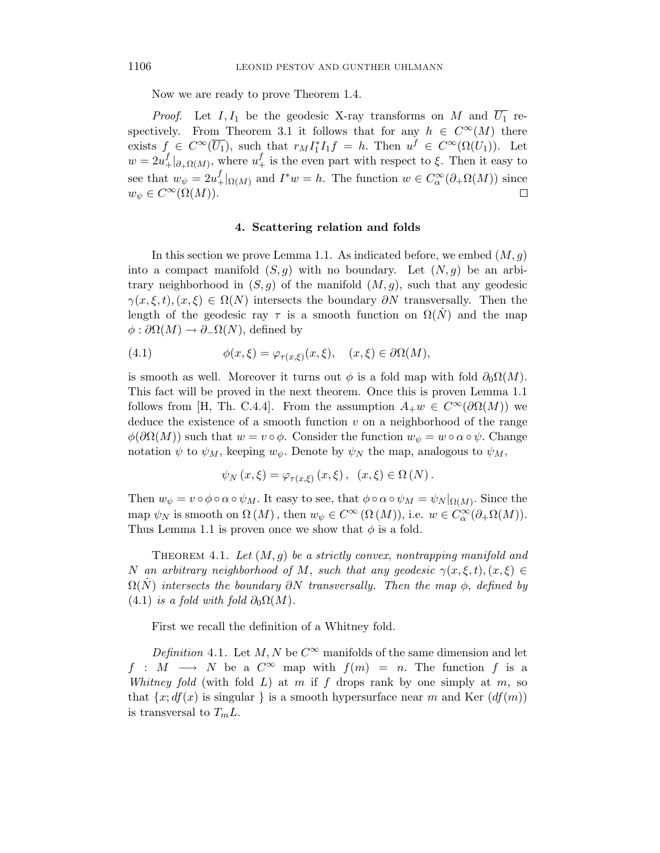Now we are ready to prove Theorem 1.4.

*Proof.* Let  $I, I_1$  be the geodesic X-ray transforms on *M* and  $\overline{U_1}$  respectively. From Theorem 3.1 it follows that for any  $h \in C^{\infty}(M)$  there exists  $f \in C^{\infty}(\overline{U_1})$ , such that  $r_M I_1^* I_1 f = h$ . Then  $u^f \in C^{\infty}(\Omega(U_1))$ . Let  $w = 2u_+^f|_{\partial_{+}\Omega(M)}$ , where  $u_+^f$  is the even part with respect to  $\xi$ . Then it easy to see that  $w_{\psi} = 2u_{+}^{f}|_{\Omega(M)}$  and  $I^*w = h$ . The function  $w \in C^{\infty}_{\alpha}(\partial_{+}\Omega(M))$  since  $w_{\psi} \in C^{\infty}(\Omega(M)).$  $\Box$ 

#### **4. Scattering relation and folds**

In this section we prove Lemma 1.1. As indicated before, we embed  $(M, g)$ into a compact manifold  $(S, g)$  with no boundary. Let  $(N, g)$  be an arbitrary neighborhood in  $(S, q)$  of the manifold  $(M, q)$ , such that any geodesic  $\gamma(x,\xi,t), (x,\xi) \in \Omega(N)$  intersects the boundary  $\partial N$  transversally. Then the length of the geodesic ray  $\tau$  is a smooth function on  $\Omega(N)$  and the map  $\phi$ :  $\partial\Omega(M) \to \partial_{-}\Omega(N)$ , defined by

(4.1) 
$$
\phi(x,\xi) = \varphi_{\tau(x,\xi)}(x,\xi), \quad (x,\xi) \in \partial\Omega(M),
$$

is smooth as well. Moreover it turns out  $\phi$  is a fold map with fold  $\partial_0\Omega(M)$ . This fact will be proved in the next theorem. Once this is proven Lemma 1.1 follows from [H, Th. C.4.4]. From the assumption  $A_+w \in C^{\infty}(\partial \Omega(M))$  we deduce the existence of a smooth function *v* on a neighborhood of the range  $\phi(\partial\Omega(M))$  such that  $w = v \circ \phi$ . Consider the function  $w_{\psi} = w \circ \alpha \circ \psi$ . Change notation  $\psi$  to  $\psi_M$ , keeping  $w_{\psi}$ . Denote by  $\psi_N$  the map, analogous to  $\psi_M$ ,

$$
\psi_N(x,\xi) = \varphi_{\tau(x,\xi)}(x,\xi), \quad (x,\xi) \in \Omega(N).
$$

Then  $w_{\psi} = v \circ \phi \circ \alpha \circ \psi_M$ . It easy to see, that  $\phi \circ \alpha \circ \psi_M = \psi_N|_{\Omega(M)}$ . Since the map  $\psi_N$  is smooth on  $\Omega(M)$ , then  $w_{\psi} \in C^{\infty}(\Omega(M))$ , i.e.  $w \in C^{\infty}(\partial_{+}\Omega(M))$ . Thus Lemma 1.1 is proven once we show that  $\phi$  is a fold.

THEOREM 4.1. Let  $(M, g)$  be a strictly convex, nontrapping manifold and *N* an arbitrary neighborhood of *M*, such that any geodesic  $\gamma(x,\xi,t)$ ,  $(x,\xi) \in$  $\Omega(N)$  intersects the boundary  $\partial N$  transversally. Then the map  $\phi$ , defined by (4.1) is a fold with fold  $\partial_0 \Omega(M)$ .

First we recall the definition of a Whitney fold.

Definition 4.1. Let *M*, *N* be  $C^{\infty}$  manifolds of the same dimension and let *f* : *M* → *N* be a  $C^{\infty}$  map with  $f(m) = n$ . The function *f* is a Whitney fold (with fold  $L$ ) at  $m$  if  $f$  drops rank by one simply at  $m$ , so that  $\{x; df(x)$  is singular  $\}$  is a smooth hypersurface near *m* and Ker  $(df(m))$ is transversal to  $T_m L$ .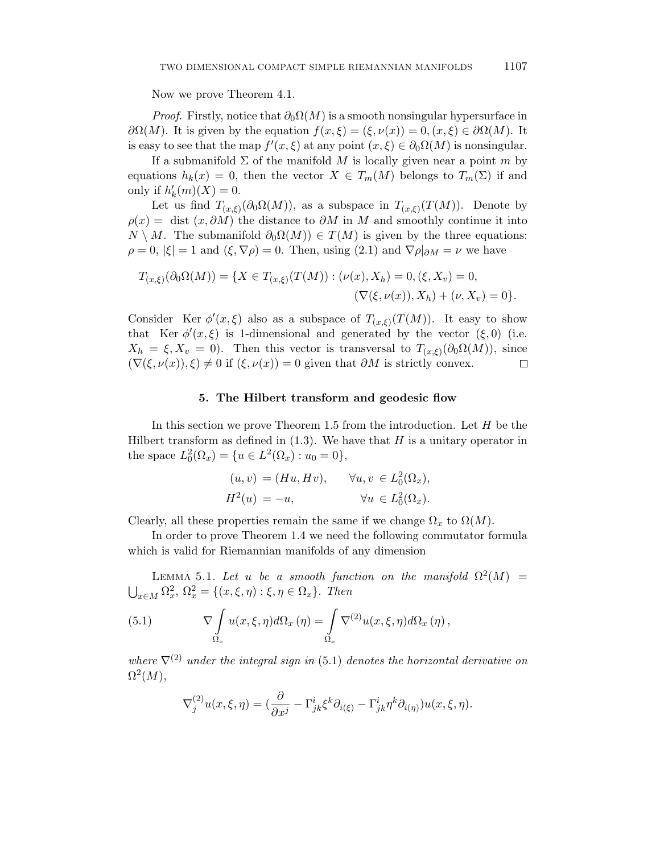Now we prove Theorem 4.1.

*Proof.* Firstly, notice that  $\partial_0 \Omega(M)$  is a smooth nonsingular hypersurface in *∂*Ω(*M*). It is given by the equation  $f(x, ξ) = (ξ, ν(x)) = 0, (x, ξ) ∈ ∂Ω(M)$ . It is easy to see that the map  $f'(x,\xi)$  at any point  $(x,\xi) \in \partial_0\Omega(M)$  is nonsingular.

If a submanifold  $\Sigma$  of the manifold M is locally given near a point m by equations  $h_k(x) = 0$ , then the vector  $X \in T_m(M)$  belongs to  $T_m(\Sigma)$  if and only if  $h'_k(m)(X) = 0$ .

Let us find  $T_{(x,\xi)}(\partial_0\Omega(M))$ , as a subspace in  $T_{(x,\xi)}(T(M))$ . Denote by  $\rho(x) =$  dist  $(x, \partial M)$  the distance to  $\partial M$  in M and smoothly continue it into  $N \setminus M$ . The submanifold  $\partial_0\Omega(M) \in T(M)$  is given by the three equations:  $\rho = 0$ ,  $|\xi| = 1$  and  $(\xi, \nabla \rho) = 0$ . Then, using (2.1) and  $\nabla \rho|_{\partial M} = \nu$  we have

$$
T_{(x,\xi)}(\partial_0 \Omega(M)) = \{ X \in T_{(x,\xi)}(T(M)) : (\nu(x), X_h) = 0, (\xi, X_v) = 0, (\nabla(\xi, \nu(x)), X_h) + (\nu, X_v) = 0 \}.
$$

Consider Ker  $\phi'(x,\xi)$  also as a subspace of  $T_{(x,\xi)}(T(M))$ . It easy to show that Ker  $\phi'(x,\xi)$  is 1-dimensional and generated by the vector  $(\xi,0)$  (i.e.  $X_h = \xi, X_v = 0$ ). Then this vector is transversal to  $T_{(x,\xi)}(\partial_0\Omega(M))$ , since  $(\nabla(\xi, \nu(x)), \xi) \neq 0$  if  $(\xi, \nu(x)) = 0$  given that  $\partial M$  is strictly convex. □

#### **5. The Hilbert transform and geodesic flow**

In this section we prove Theorem 1.5 from the introduction. Let *H* be the Hilbert transform as defined in (1.3). We have that *H* is a unitary operator in the space  $L_0^2(\Omega_x) = \{u \in L^2(\Omega_x) : u_0 = 0\},\$ 

$$
(u, v) = (Hu, Hv), \quad \forall u, v \in L_0^2(\Omega_x),
$$
  

$$
H^2(u) = -u, \quad \forall u \in L_0^2(\Omega_x).
$$

Clearly, all these properties remain the same if we change  $\Omega_x$  to  $\Omega(M)$ .

In order to prove Theorem 1.4 we need the following commutator formula which is valid for Riemannian manifolds of any dimension

LEMMA 5.1. Let *u* be a smooth function on the manifold  $\Omega^2(M)$  =  $\bigcup_{x \in M} \Omega_x^2$ ,  $\Omega_x^2 = \{(x, \xi, \eta) : \xi, \eta \in \Omega_x\}$ *. Then* 

(5.1) 
$$
\nabla \int_{\Omega_x} u(x,\xi,\eta) d\Omega_x(\eta) = \int_{\Omega_x} \nabla^{(2)} u(x,\xi,\eta) d\Omega_x(\eta),
$$

where  $\nabla^{(2)}$  under the integral sign in (5.1) denotes the horizontal derivative on  $\Omega^2(M)$ ,

$$
\nabla_j^{(2)} u(x,\xi,\eta) = (\frac{\partial}{\partial x^j} - \Gamma^i_{jk} \xi^k \partial_{i(\xi)} - \Gamma^i_{jk} \eta^k \partial_{i(\eta)}) u(x,\xi,\eta).
$$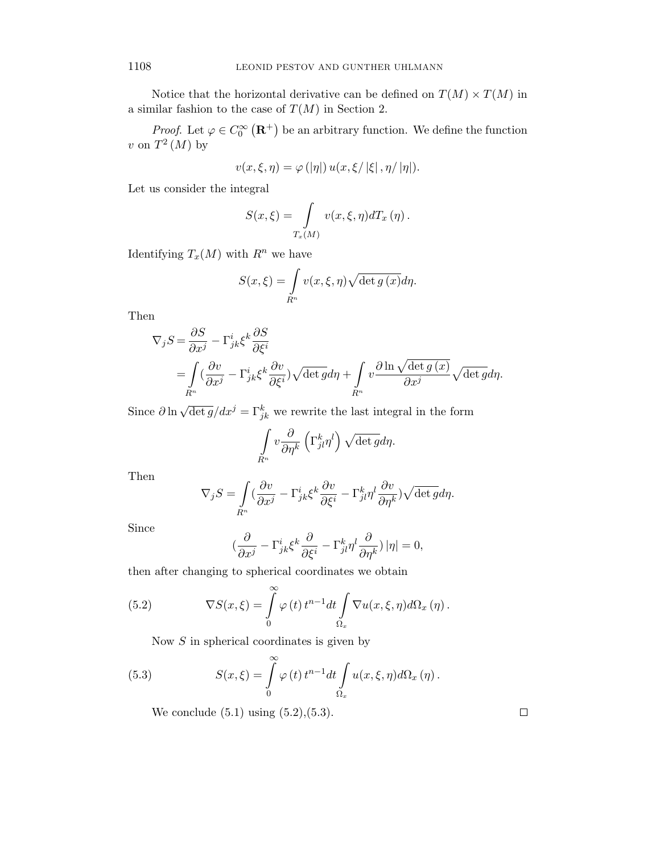Notice that the horizontal derivative can be defined on  $T(M) \times T(M)$  in a similar fashion to the case of  $T(M)$  in Section 2.

*Proof.* Let  $\varphi \in C_0^{\infty}(\mathbf{R}^+)$  be an arbitrary function. We define the function *v* on  $T^2(M)$  by

$$
v(x,\xi,\eta) = \varphi(|\eta|) u(x,\xi/|\xi|, \eta/|\eta|).
$$

Let us consider the integral

$$
S(x,\xi) = \int_{T_x(M)} v(x,\xi,\eta) dT_x(\eta).
$$

Identifying  $T_x(M)$  with  $R^n$  we have

$$
S(x,\xi) = \int_{R^n} v(x,\xi,\eta) \sqrt{\det g(x)} d\eta.
$$

Then

$$
\nabla_j S = \frac{\partial S}{\partial x^j} - \Gamma^i_{jk} \xi^k \frac{\partial S}{\partial \xi^i}
$$
  
= 
$$
\int_{R^n} \left( \frac{\partial v}{\partial x^j} - \Gamma^i_{jk} \xi^k \frac{\partial v}{\partial \xi^i} \right) \sqrt{\det g} d\eta + \int_{R^n} v \frac{\partial \ln \sqrt{\det g(x)}}{\partial x^j} \sqrt{\det g} d\eta.
$$

Since  $\partial \ln \sqrt{\det g} / dx^j = \Gamma_{jk}^k$  we rewrite the last integral in the form

$$
\int_{R^n} v \frac{\partial}{\partial \eta^k} \left( \Gamma^k_{jl} \eta^l \right) \sqrt{\det g} d\eta.
$$

Then

$$
\nabla_j S = \int\limits_{R^n} (\frac{\partial v}{\partial x^j} - \Gamma^i_{jk} \xi^k \frac{\partial v}{\partial \xi^i} - \Gamma^k_{jl} \eta^l \frac{\partial v}{\partial \eta^k}) \sqrt{\det g} d\eta.
$$

Since

$$
\left(\frac{\partial}{\partial x^j} - \Gamma^i_{jk}\xi^k \frac{\partial}{\partial \xi^i} - \Gamma^k_{jl}\eta^l \frac{\partial}{\partial \eta^k}\right)|\eta| = 0,
$$

then after changing to spherical coordinates we obtain

(5.2) 
$$
\nabla S(x,\xi) = \int_{0}^{\infty} \varphi(t) t^{n-1} dt \int_{\Omega_x} \nabla u(x,\xi,\eta) d\Omega_x(\eta).
$$

Now *S* in spherical coordinates is given by

(5.3) 
$$
S(x,\xi) = \int_{0}^{\infty} \varphi(t) t^{n-1} dt \int_{\Omega_x} u(x,\xi,\eta) d\Omega_x(\eta).
$$

We conclude  $(5.1)$  using  $(5.2)$ , $(5.3)$ .

 $\Box$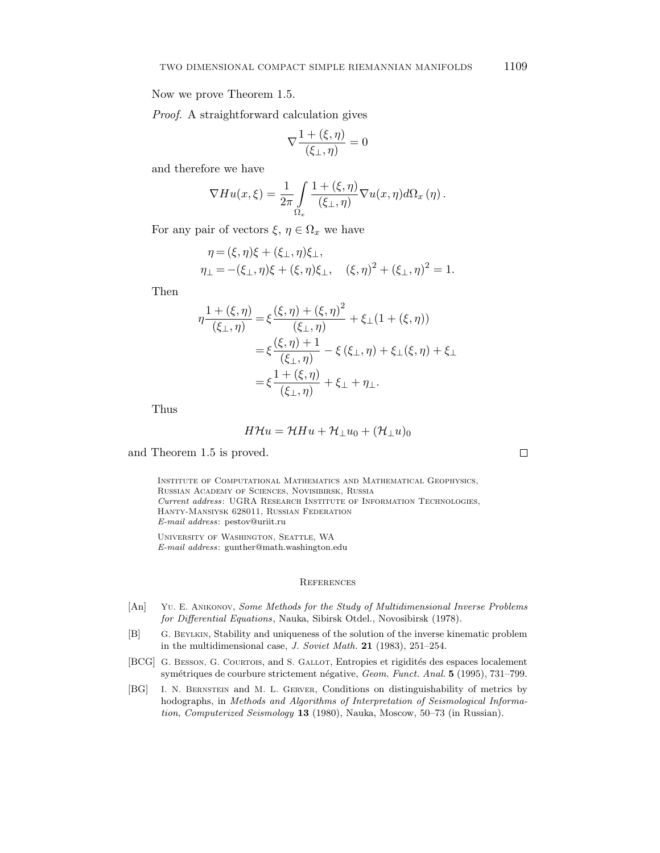Now we prove Theorem 1.5.

Proof. A straightforward calculation gives

$$
\nabla \frac{1 + (\xi, \eta)}{(\xi_{\perp}, \eta)} = 0
$$

and therefore we have

$$
\nabla H u(x,\xi) = \frac{1}{2\pi} \int_{\Omega_x} \frac{1 + (\xi,\eta)}{(\xi_{\perp},\eta)} \nabla u(x,\eta) d\Omega_x(\eta).
$$

For any pair of vectors  $\xi, \eta \in \Omega_x$  we have

$$
\eta = (\xi, \eta)\xi + (\xi_{\perp}, \eta)\xi_{\perp}, \eta_{\perp} = -(\xi_{\perp}, \eta)\xi + (\xi, \eta)\xi_{\perp}, \quad (\xi, \eta)^2 + (\xi_{\perp}, \eta)^2 = 1.
$$

Then

$$
\eta \frac{1 + (\xi, \eta)}{(\xi_{\perp}, \eta)} = \xi \frac{(\xi, \eta) + (\xi, \eta)^2}{(\xi_{\perp}, \eta)} + \xi_{\perp} (1 + (\xi, \eta))
$$
  
=  $\xi \frac{(\xi, \eta) + 1}{(\xi_{\perp}, \eta)} - \xi (\xi_{\perp}, \eta) + \xi_{\perp} (\xi, \eta) + \xi_{\perp}$   
=  $\xi \frac{1 + (\xi, \eta)}{(\xi_{\perp}, \eta)} + \xi_{\perp} + \eta_{\perp}.$ 

Thus

$$
H\mathcal{H}u = \mathcal{H}Hu + \mathcal{H}_{\perp}u_0 + (\mathcal{H}_{\perp}u)_0
$$

and Theorem 1.5 is proved.

Institute of Computational Mathematics and Mathematical Geophysics, Russian Academy of Sciences, Novisibirsk, Russia *Current address*: UGRA Research Institute of Information Technologies, Hanty-Mansiysk 628011, Russian Federation *E-mail address*: pestov@uriit.ru

University of Washington, Seattle, WA *E-mail address*: gunther@math.washington.edu

## References

- [An] Yu. E. Anikonov, *Some Methods for the Study of Multidimensional Inverse Problems for Differential Equations*, Nauka, Sibirsk Otdel., Novosibirsk (1978).
- [B] G. Beylkin, Stability and uniqueness of the solution of the inverse kinematic problem in the multidimensional case, *J. Soviet Math.* **21** (1983), 251–254.
- [BCG] G. BESSON, G. COURTOIS, and S. GALLOT, Entropies et rigidités des espaces localement symétriques de courbure strictement négative, *Geom. Funct. Anal.* **5** (1995), 731–799.
- [BG] I. N. Bernstein and M. L. Gerver, Conditions on distinguishability of metrics by hodographs, in *Methods and Algorithms of Interpretation of Seismological Information*, *Computerized Seismology* **13** (1980), Nauka, Moscow, 50–73 (in Russian).

 $\Box$